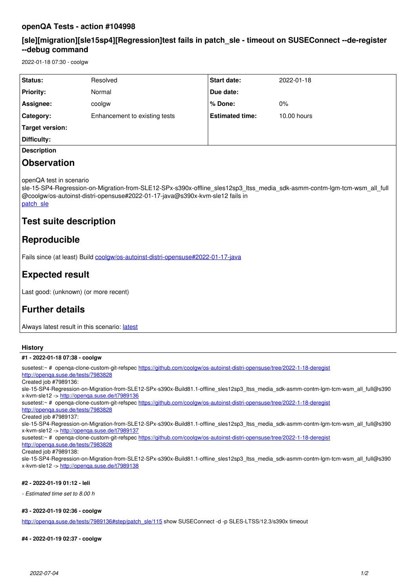## **openQA Tests - action #104998**

## **[sle][migration][sle15sp4][Regression]test fails in patch\_sle - timeout on SUSEConnect --de-register --debug command**

2022-01-18 07:30 - coolgw

| <b>Status:</b>     | Resolved                      | <b>Start date:</b>     | 2022-01-18  |
|--------------------|-------------------------------|------------------------|-------------|
| <b>Priority:</b>   | Normal                        | Due date:              |             |
| Assignee:          | coolgw                        | % Done:                | 0%          |
| <b>Category:</b>   | Enhancement to existing tests | <b>Estimated time:</b> | 10.00 hours |
| Target version:    |                               |                        |             |
| Difficulty:        |                               |                        |             |
| <b>Description</b> |                               |                        |             |

## **Observation**

openQA test in scenario

sle-15-SP4-Regression-on-Migration-from-SLE12-SPx-s390x-offline sles12sp3 ltss media sdk-asmm-contm-lgm-tcm-wsm all full @coolgw/os-autoinst-distri-opensuse#2022-01-17-java@s390x-kvm-sle12 fails in patch sle

# **Test suite description**

## **Reproducible**

Fails since (at least) Build [coolgw/os-autoinst-distri-opensuse#2022-01-17-java](http://openqa.suse.de/tests/7982690)

# **Expected result**

Last good: (unknown) (or more recent)

# **Further details**

Always [latest](http://openqa.suse.de/tests/latest?arch=s390x&distri=sle&flavor=Regression-on-Migration-from-SLE12-SPx&machine=s390x-kvm-sle12&test=offline_sles12sp3_ltss_media_sdk-asmm-contm-lgm-tcm-wsm_all_full%40coolgw%2Fos-autoinst-distri-opensuse%232022-01-17-java&version=15-SP4) result in this scenario: latest

## **History**

### **#1 - 2022-01-18 07:38 - coolgw**

susetest:~ # openqa-clone-custom-git-refspec<https://github.com/coolgw/os-autoinst-distri-opensuse/tree/2022-1-18-deregist> <http://openqa.suse.de/tests/7983828> Created job #7989136: sle-15-SP4-Regression-on-Migration-from-SLE12-SPx-s390x-Build81.1-offline\_sles12sp3\_ltss\_media\_sdk-asmm-contm-lgm-tcm-wsm\_all\_full@s390 x-kvm-sle12 -><http://openqa.suse.de/t7989136> susetest:~ # openqa-clone-custom-git-refspec<https://github.com/coolgw/os-autoinst-distri-opensuse/tree/2022-1-18-deregist> <http://openqa.suse.de/tests/7983828> Created job #7989137: sle-15-SP4-Regression-on-Migration-from-SLE12-SPx-s390x-Build81.1-offline\_sles12sp3\_ltss\_media\_sdk-asmm-contm-lgm-tcm-wsm\_all\_full@s390 x-kvm-sle12 -><http://openqa.suse.de/t7989137> susetest:~ # openqa-clone-custom-git-refspec<https://github.com/coolgw/os-autoinst-distri-opensuse/tree/2022-1-18-deregist> <http://openqa.suse.de/tests/7983828> Created job #7989138: sle-15-SP4-Regression-on-Migration-from-SLE12-SPx-s390x-Build81.1-offline\_sles12sp3\_ltss\_media\_sdk-asmm-contm-lgm-tcm-wsm\_all\_full@s390 x-kvm-sle12 -><http://openqa.suse.de/t7989138> **#2 - 2022-01-19 01:12 - leli**

*- Estimated time set to 8.00 h*

### **#3 - 2022-01-19 02:36 - coolgw**

[http://openqa.suse.de/tests/7989136#step/patch\\_sle/115](http://openqa.suse.de/tests/7989136#step/patch_sle/115) show SUSEConnect -d -p SLES-LTSS/12.3/s390x timeout

**#4 - 2022-01-19 02:37 - coolgw**